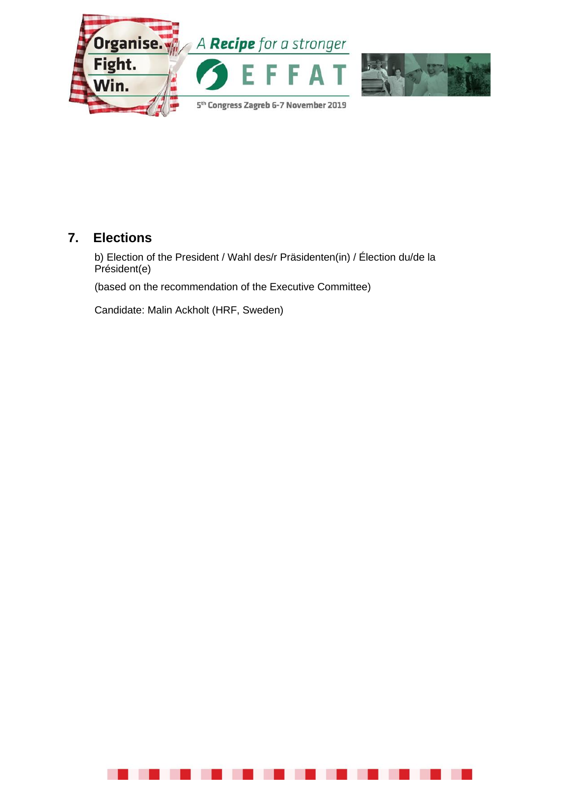

# **7. Elections**

b) Election of the President / Wahl des/r Präsidenten(in) / Élection du/de la Président(e)

(based on the recommendation of the Executive Committee)

Candidate: Malin Ackholt (HRF, Sweden)